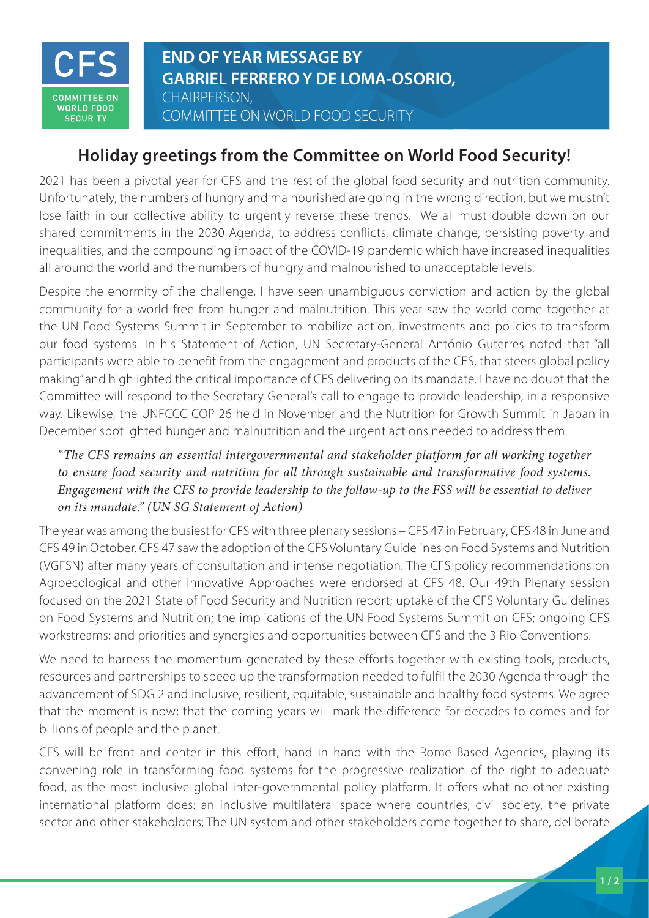

**END OF YEAR MESSAGE BY GABRIEL FERRERO Y DE LOMA-OSORIO,**  CHAIRPERSON, COMMITTEE ON WORLD FOOD SECURITY

## **Holiday greetings from the Committee on World Food Security!**

2021 has been a pivotal year for CFS and the rest of the global food security and nutrition community. Unfortunately, the numbers of hungry and malnourished are going in the wrong direction, but we mustn't lose faith in our collective ability to urgently reverse these trends. We all must double down on our shared commitments in the 2030 Agenda, to address conflicts, climate change, persisting poverty and inequalities, and the compounding impact of the COVID-19 pandemic which have increased inequalities all around the world and the numbers of hungry and malnourished to unacceptable levels.

Despite the enormity of the challenge, I have seen unambiguous conviction and action by the global community for a world free from hunger and malnutrition. This year saw the world come together at the UN Food Systems Summit in September to mobilize action, investments and policies to transform our food systems. In his Statement of Action, UN Secretary-General António Guterres noted that "all participants were able to benefit from the engagement and products of the CFS, that steers global policy making" and highlighted the critical importance of CFS delivering on its mandate. I have no doubt that the Committee will respond to the Secretary General's call to engage to provide leadership, in a responsive way. Likewise, the UNFCCC COP 26 held in November and the Nutrition for Growth Summit in Japan in December spotlighted hunger and malnutrition and the urgent actions needed to address them.

*"The CFS remains an essential intergovernmental and stakeholder platform for all working together to ensure food security and nutrition for all through sustainable and transformative food systems. Engagement with the CFS to provide leadership to the follow-up to the FSS will be essential to deliver on its mandate." (UN SG Statement of Action)*

The year was among the busiest for CFS with three plenary sessions – CFS 47 in February, CFS 48 in June and CFS 49 in October. CFS 47 saw the adoption of the CFS Voluntary Guidelines on Food Systems and Nutrition (VGFSN) after many years of consultation and intense negotiation. The CFS policy recommendations on Agroecological and other Innovative Approaches were endorsed at CFS 48. Our 49th Plenary session focused on the 2021 State of Food Security and Nutrition report; uptake of the CFS Voluntary Guidelines on Food Systems and Nutrition; the implications of the UN Food Systems Summit on CFS; ongoing CFS workstreams; and priorities and synergies and opportunities between CFS and the 3 Rio Conventions.

We need to harness the momentum generated by these efforts together with existing tools, products, resources and partnerships to speed up the transformation needed to fulfil the 2030 Agenda through the advancement of SDG 2 and inclusive, resilient, equitable, sustainable and healthy food systems. We agree that the moment is now; that the coming years will mark the difference for decades to comes and for billions of people and the planet.

CFS will be front and center in this effort, hand in hand with the Rome Based Agencies, playing its convening role in transforming food systems for the progressive realization of the right to adequate food, as the most inclusive global inter-governmental policy platform. It offers what no other existing international platform does: an inclusive multilateral space where countries, civil society, the private sector and other stakeholders; The UN system and other stakeholders come together to share, deliberate